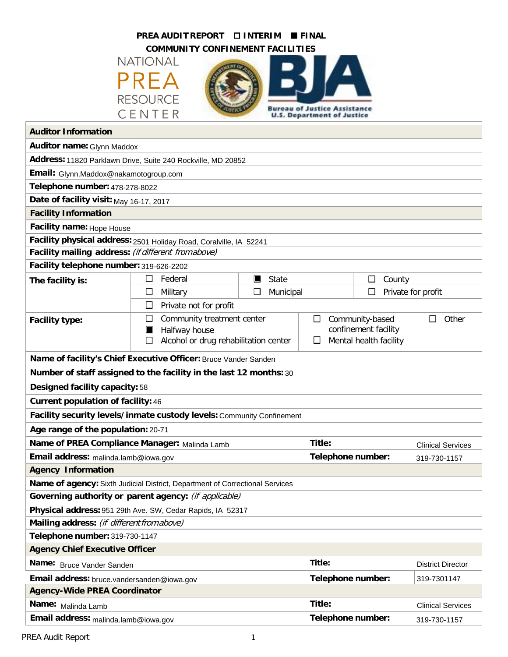| PREA AUDIT REPORT<br>$\square$ INTERIM<br><b>E</b> FINAL                       |                                            |                   |                                                          |                              |                          |  |
|--------------------------------------------------------------------------------|--------------------------------------------|-------------------|----------------------------------------------------------|------------------------------|--------------------------|--|
| <b>COMMUNITY CONFINEMENT FACILITIES</b>                                        |                                            |                   |                                                          |                              |                          |  |
| <b>NATIONAL</b>                                                                |                                            |                   |                                                          |                              |                          |  |
| PREA                                                                           |                                            |                   |                                                          |                              |                          |  |
|                                                                                |                                            |                   |                                                          |                              |                          |  |
| <b>RESOURCE</b><br><b>Bureau of Justice Assistance</b>                         |                                            |                   |                                                          |                              |                          |  |
| CENTER<br><b>U.S. Department of Justice</b>                                    |                                            |                   |                                                          |                              |                          |  |
| <b>Auditor Information</b>                                                     |                                            |                   |                                                          |                              |                          |  |
| <b>Auditor name: Glynn Maddox</b>                                              |                                            |                   |                                                          |                              |                          |  |
| Address: 11820 Parklawn Drive, Suite 240 Rockville, MD 20852                   |                                            |                   |                                                          |                              |                          |  |
| Email: Glynn.Maddox@nakamotogroup.com                                          |                                            |                   |                                                          |                              |                          |  |
| Telephone number: 478-278-8022                                                 |                                            |                   |                                                          |                              |                          |  |
| Date of facility visit: May 16-17, 2017                                        |                                            |                   |                                                          |                              |                          |  |
| <b>Facility Information</b>                                                    |                                            |                   |                                                          |                              |                          |  |
| Facility name: Hope House                                                      |                                            |                   |                                                          |                              |                          |  |
| Facility physical address: 2501 Holiday Road, Coralville, IA 52241             |                                            |                   |                                                          |                              |                          |  |
| Facility mailing address: (if different from above)                            |                                            |                   |                                                          |                              |                          |  |
| Facility telephone number: 319-626-2202                                        |                                            |                   |                                                          |                              |                          |  |
| The facility is:                                                               | □<br>Federal                               | State<br>ш        |                                                          | $\Box$<br>County             |                          |  |
|                                                                                | Military<br>$\Box$                         | □<br>Municipal    |                                                          | Private for profit<br>$\Box$ |                          |  |
| Private not for profit<br>□                                                    |                                            |                   |                                                          |                              |                          |  |
| <b>Facility type:</b>                                                          | Community treatment center<br>ப            |                   | Community-based<br>Other<br>$\Box$<br>П                  |                              |                          |  |
|                                                                                | Halfway house<br>ш                         |                   | confinement facility<br>Mental health facility<br>$\Box$ |                              |                          |  |
|                                                                                | Alcohol or drug rehabilitation center<br>□ |                   |                                                          |                              |                          |  |
| Name of facility's Chief Executive Officer: Bruce Vander Sanden                |                                            |                   |                                                          |                              |                          |  |
| Number of staff assigned to the facility in the last 12 months: 30             |                                            |                   |                                                          |                              |                          |  |
| <b>Designed facility capacity: 58</b>                                          |                                            |                   |                                                          |                              |                          |  |
| <b>Current population of facility: 46</b>                                      |                                            |                   |                                                          |                              |                          |  |
| Facility security levels/inmate custody levels: Community Confinement          |                                            |                   |                                                          |                              |                          |  |
| Age range of the population: 20-71                                             |                                            |                   |                                                          |                              |                          |  |
| Name of PREA Compliance Manager: Malinda Lamb                                  |                                            |                   | Title:                                                   |                              | <b>Clinical Services</b> |  |
| Email address: malinda.lamb@iowa.gov                                           |                                            | Telephone number: |                                                          | 319-730-1157                 |                          |  |
| <b>Agency Information</b>                                                      |                                            |                   |                                                          |                              |                          |  |
| Name of agency: Sixth Judicial District, Department of Correctional Services   |                                            |                   |                                                          |                              |                          |  |
| Governing authority or parent agency: (if applicable)                          |                                            |                   |                                                          |                              |                          |  |
| Physical address: 951 29th Ave. SW, Cedar Rapids, IA 52317                     |                                            |                   |                                                          |                              |                          |  |
| Mailing address: (if different from above)                                     |                                            |                   |                                                          |                              |                          |  |
| Telephone number: 319-730-1147                                                 |                                            |                   |                                                          |                              |                          |  |
| <b>Agency Chief Executive Officer</b>                                          |                                            |                   |                                                          |                              |                          |  |
| Name: Bruce Vander Sanden                                                      |                                            |                   | Title:                                                   |                              | <b>District Director</b> |  |
| Telephone number:<br>Email address: bruce.vandersanden@iowa.gov<br>319-7301147 |                                            |                   |                                                          |                              |                          |  |
| <b>Agency-Wide PREA Coordinator</b>                                            |                                            |                   |                                                          |                              |                          |  |
| Name: Malinda Lamb                                                             |                                            |                   | Title:                                                   |                              | <b>Clinical Services</b> |  |
| Email address: malinda.lamb@iowa.gov                                           |                                            |                   | Telephone number:                                        |                              | 319-730-1157             |  |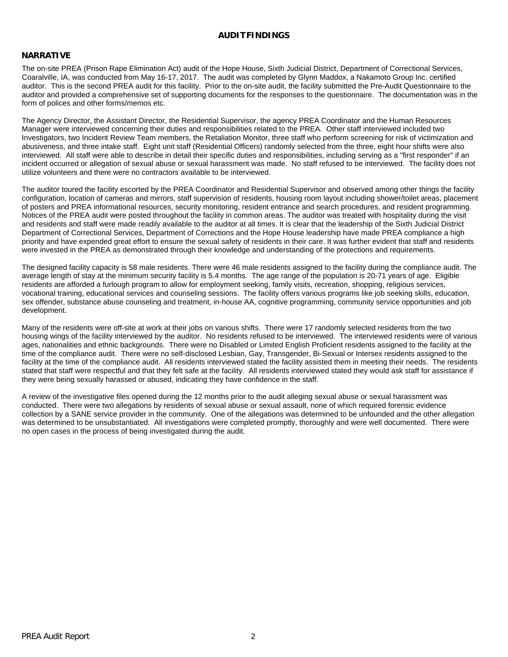#### **AUDITFINDINGS**

#### **NARRATIVE**

The on-site PREA (Prison Rape Elimination Act) audit of the Hope House, Sixth Judicial District, Department of Correctional Services, Coaralville, IA, was conducted from May 16-17, 2017. The audit was completed by Glynn Maddox, a Nakamoto Group Inc. certified auditor. This is the second PREA audit for this facility. Prior to the on-site audit, the facility submitted the Pre-Audit Questionnaire to the auditor and provided a comprehensive set of supporting documents for the responses to the questionnaire. The documentation was in the form of polices and other forms/memos etc.

The Agency Director, the Assistant Director, the Residential Supervisor, the agency PREA Coordinator and the Human Resources Manager were interviewed concerning their duties and responsibilities related to the PREA. Other staff interviewed included two Investigators, two Incident Review Team members, the Retaliation Monitor, three staff who perform screening for risk of victimization and abusiveness, and three intake staff. Eight unit staff (Residential Officers) randomly selected from the three, eight hour shifts were also interviewed. All staff were able to describe in detail their specific duties and responsibilities, including serving as a "first responder" if an incident occurred or allegation of sexual abuse or sexual harassment was made. No staff refused to be interviewed. The facility does not utilize volunteers and there were no contractors available to be interviewed.

The auditor toured the facility escorted by the PREA Coordinator and Residential Supervisor and observed among other things the facility configuration, location of cameras and mirrors, staff supervision of residents, housing room layout including shower/toilet areas, placement of posters and PREA informational resources, security monitoring, resident entrance and search procedures, and resident programming. Notices of the PREA audit were posted throughout the facility in common areas. The auditor was treated with hospitality during the visit and residents and staff were made readily available to the auditor at all times. It is clear that the leadership of the Sixth Judicial District Department of Correctional Services, Department of Corrections and the Hope House leadership have made PREA compliance a high priority and have expended great effort to ensure the sexual safety of residents in their care. It was further evident that staff and residents were invested in the PREA as demonstrated through their knowledge and understanding of the protections and requirements.

The designed facility capacity is 58 male residents. There were 46 male residents assigned to the facility during the compliance audit. The average length of stay at the minimum security facility is 5.4 months. The age range of the population is 20-71 years of age. Eligible residents are afforded a furlough program to allow for employment seeking, family visits, recreation, shopping, religious services, vocational training, educational services and counseling sessions. The facility offers various programs like job seeking skills, education, sex offender, substance abuse counseling and treatment, in-house AA, cognitive programming, community service opportunities and job development.

Many of the residents were off-site at work at their jobs on various shifts. There were 17 randomly selected residents from the two housing wings of the facility interviewed by the auditor. No residents refused to be interviewed. The interviewed residents were of various ages, nationalities and ethnic backgrounds. There were no Disabled or Limited English Proficient residents assigned to the facility at the time of the compliance audit. There were no self-disclosed Lesbian, Gay, Transgender, Bi-Sexual or Intersex residents assigned to the facility at the time of the compliance audit. All residents interviewed stated the facility assisted them in meeting their needs. The residents stated that staff were respectful and that they felt safe at the facility. All residents interviewed stated they would ask staff for assistance if they were being sexually harassed or abused, indicating they have confidence in the staff.

A review of the investigative files opened during the 12 months prior to the audit alleging sexual abuse or sexual harassment was conducted. There were two allegations by residents of sexual abuse or sexual assault, none of which required forensic evidence collection by a SANE service provider in the community. One of the allegations was determined to be unfounded and the other allegation was determined to be unsubstantiated. All investigations were completed promptly, thoroughly and were well documented. There were no open cases in the process of being investigated during the audit.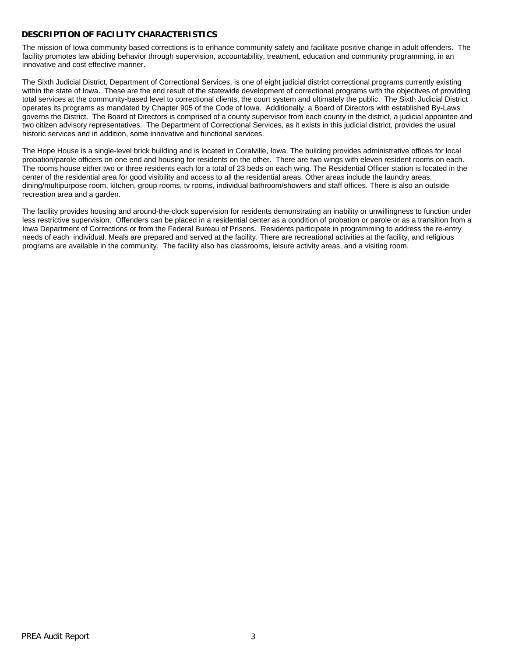### **DESCRIPTION OF FACILITY CHARACTERISTICS**

The mission of Iowa community based corrections is to enhance community safety and facilitate positive change in adult offenders. The facility promotes law abiding behavior through supervision, accountability, treatment, education and community programming, in an innovative and cost effective manner.

The Sixth Judicial District, Department of Correctional Services, is one of eight judicial district correctional programs currently existing within the state of Iowa. These are the end result of the statewide development of correctional programs with the objectives of providing total services at the community-based level to correctional clients, the court system and ultimately the public. The Sixth Judicial District operates its programs as mandated by Chapter 905 of the Code of Iowa. Additionally, a Board of Directors with established By-Laws governs the District. The Board of Directors is comprised of a county supervisor from each county in the district, a judicial appointee and two citizen advisory representatives. The Department of Correctional Services, as it exists in this judicial district, provides the usual historic services and in addition, some innovative and functional services.

The Hope House is a single-level brick building and is located in Coralville, Iowa. The building provides administrative offices for local probation/parole officers on one end and housing for residents on the other. There are two wings with eleven resident rooms on each. The rooms house either two or three residents each for a total of 23 beds on each wing. The Residential Officer station is located in the center of the residential area for good visibility and access to all the residential areas. Other areas include the laundry areas, dining/multipurpose room, kitchen, group rooms, tv rooms, individual bathroom/showers and staff offices. There is also an outside recreation area and a garden.

The facility provides housing and around-the-clock supervision for residents demonstrating an inability or unwillingness to function under less restrictive supervision. Offenders can be placed in a residential center as a condition of probation or parole or as a transition from a Iowa Department of Corrections or from the Federal Bureau of Prisons. Residents participate in programming to address the re-entry needs of each individual. Meals are prepared and served at the facility. There are recreational activities at the facility, and religious programs are available in the community. The facility also has classrooms, leisure activity areas, and a visiting room.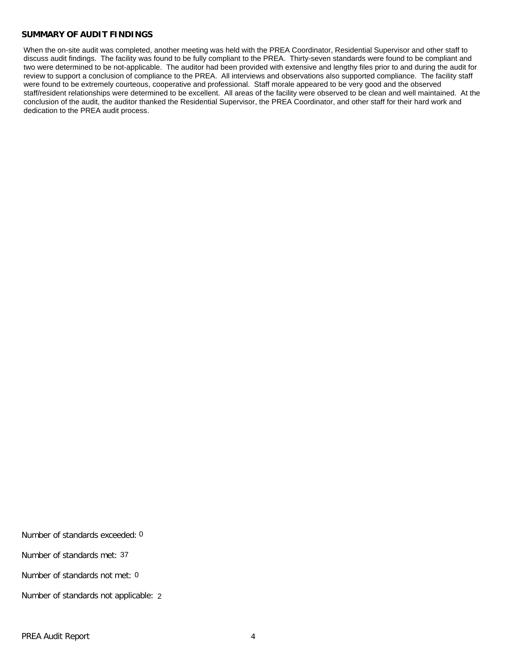#### **SUMMARY OF AUDIT FINDINGS**

When the on-site audit was completed, another meeting was held with the PREA Coordinator, Residential Supervisor and other staff to discuss audit findings. The facility was found to be fully compliant to the PREA. Thirty-seven standards were found to be compliant and two were determined to be not-applicable. The auditor had been provided with extensive and lengthy files prior to and during the audit for review to support a conclusion of compliance to the PREA. All interviews and observations also supported compliance. The facility staff were found to be extremely courteous, cooperative and professional. Staff morale appeared to be very good and the observed staff/resident relationships were determined to be excellent. All areas of the facility were observed to be clean and well maintained. At the conclusion of the audit, the auditor thanked the Residential Supervisor, the PREA Coordinator, and other staff for their hard work and dedication to the PREA audit process.

Number of standards exceeded: 0

Number of standards met: 37

Number of standards not met: 0

Number of standards not applicable: 2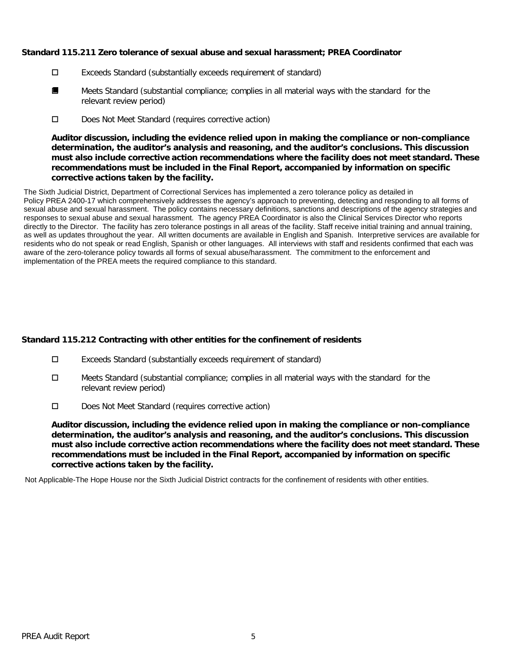## **Standard 115.211 Zero tolerance of sexual abuse and sexual harassment; PREA Coordinator**

- Exceeds Standard (substantially exceeds requirement of standard)
- Meets Standard (substantial compliance; complies in all material ways with the standard for the relevant review period) ■
- D Does Not Meet Standard (requires corrective action)

**Auditor discussion, including the evidence relied upon in making the compliance or non-compliance determination, the auditor's analysis and reasoning, and the auditor's conclusions. This discussion must also include corrective action recommendations where the facility does not meet standard. These recommendations must be included in the Final Report, accompanied by information on specific corrective actions taken by the facility.**

The Sixth Judicial District, Department of Correctional Services has implemented a zero tolerance policy as detailed in Policy PREA 2400-17 which comprehensively addresses the agency's approach to preventing, detecting and responding to all forms of sexual abuse and sexual harassment. The policy contains necessary definitions, sanctions and descriptions of the agency strategies and responses to sexual abuse and sexual harassment. The agency PREA Coordinator is also the Clinical Services Director who reports directly to the Director. The facility has zero tolerance postings in all areas of the facility. Staff receive initial training and annual training, as well as updates throughout the year. All written documents are available in English and Spanish. Interpretive services are available for residents who do not speak or read English, Spanish or other languages. All interviews with staff and residents confirmed that each was aware of the zero-tolerance policy towards all forms of sexual abuse/harassment. The commitment to the enforcement and implementation of the PREA meets the required compliance to this standard.

# **Standard 115.212 Contracting with other entities for the confinement of residents**

- Exceeds Standard (substantially exceeds requirement of standard)
- $\Box$  Meets Standard (substantial compliance; complies in all material ways with the standard for the relevant review period)
- Does Not Meet Standard (requires corrective action)

**Auditor discussion, including the evidence relied upon in making the compliance or non-compliance determination, the auditor's analysis and reasoning, and the auditor's conclusions. This discussion must also include corrective action recommendations where the facility does not meet standard. These recommendations must be included in the Final Report, accompanied by information on specific corrective actions taken by the facility.**

Not Applicable-The Hope House nor the Sixth Judicial District contracts for the confinement of residents with other entities.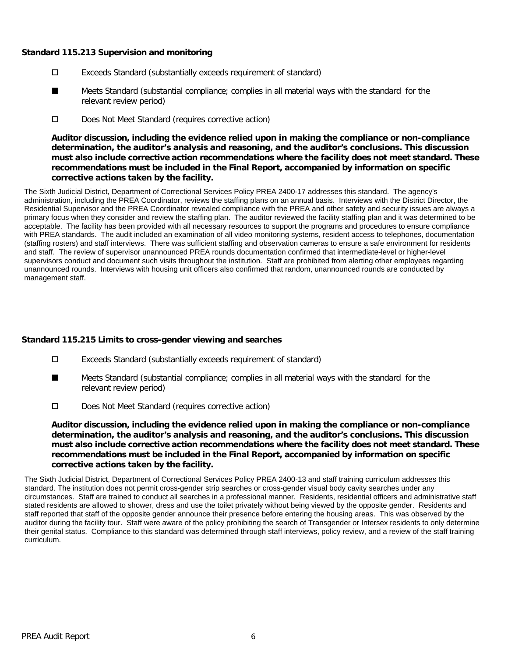## **Standard 115.213 Supervision and monitoring**

- Exceeds Standard (substantially exceeds requirement of standard)
- Meets Standard (substantial compliance; complies in all material ways with the standard for the relevant review period) ■
- D Does Not Meet Standard (requires corrective action)

**Auditor discussion, including the evidence relied upon in making the compliance or non-compliance determination, the auditor's analysis and reasoning, and the auditor's conclusions. This discussion must also include corrective action recommendations where the facility does not meet standard. These recommendations must be included in the Final Report, accompanied by information on specific corrective actions taken by the facility.**

The Sixth Judicial District, Department of Correctional Services Policy PREA 2400-17 addresses this standard. The agency's administration, including the PREA Coordinator, reviews the staffing plans on an annual basis. Interviews with the District Director, the Residential Supervisor and the PREA Coordinator revealed compliance with the PREA and other safety and security issues are always a primary focus when they consider and review the staffing plan. The auditor reviewed the facility staffing plan and it was determined to be acceptable. The facility has been provided with all necessary resources to support the programs and procedures to ensure compliance with PREA standards. The audit included an examination of all video monitoring systems, resident access to telephones, documentation (staffing rosters) and staff interviews. There was sufficient staffing and observation cameras to ensure a safe environment for residents and staff. The review of supervisor unannounced PREA rounds documentation confirmed that intermediate-level or higher-level supervisors conduct and document such visits throughout the institution. Staff are prohibited from alerting other employees regarding unannounced rounds. Interviews with housing unit officers also confirmed that random, unannounced rounds are conducted by management staff.

# **Standard 115.215 Limits to cross-gender viewing and searches**

- Exceeds Standard (substantially exceeds requirement of standard)
- Meets Standard (substantial compliance; complies in all material ways with the standard for the relevant review period) ■
- D Does Not Meet Standard (requires corrective action)

**Auditor discussion, including the evidence relied upon in making the compliance or non-compliance determination, the auditor's analysis and reasoning, and the auditor's conclusions. This discussion must also include corrective action recommendations where the facility does not meet standard. These recommendations must be included in the Final Report, accompanied by information on specific corrective actions taken by the facility.**

The Sixth Judicial District, Department of Correctional Services Policy PREA 2400-13 and staff training curriculum addresses this standard. The institution does not permit cross-gender strip searches or cross-gender visual body cavity searches under any circumstances. Staff are trained to conduct all searches in a professional manner. Residents, residential officers and administrative staff stated residents are allowed to shower, dress and use the toilet privately without being viewed by the opposite gender. Residents and staff reported that staff of the opposite gender announce their presence before entering the housing areas. This was observed by the auditor during the facility tour. Staff were aware of the policy prohibiting the search of Transgender or Intersex residents to only determine their genital status. Compliance to this standard was determined through staff interviews, policy review, and a review of the staff training curriculum.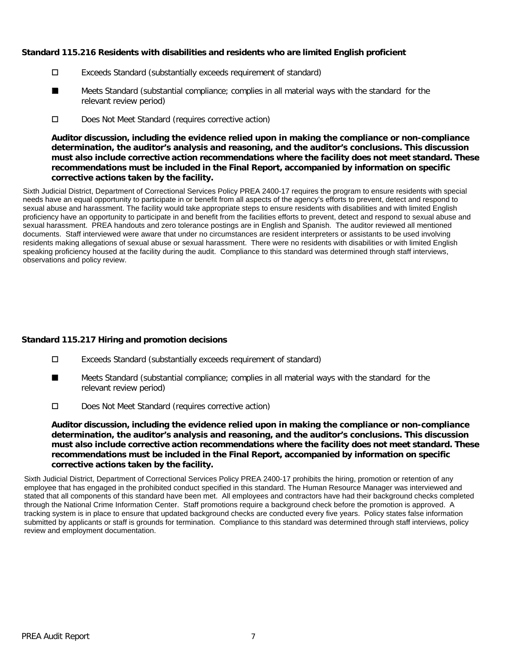## **Standard 115.216 Residents with disabilities and residents who are limited English proficient**

- Exceeds Standard (substantially exceeds requirement of standard)
- Meets Standard (substantial compliance; complies in all material ways with the standard for the relevant review period) ■
- D Does Not Meet Standard (requires corrective action)

**Auditor discussion, including the evidence relied upon in making the compliance or non-compliance determination, the auditor's analysis and reasoning, and the auditor's conclusions. This discussion must also include corrective action recommendations where the facility does not meet standard. These recommendations must be included in the Final Report, accompanied by information on specific corrective actions taken by the facility.**

Sixth Judicial District, Department of Correctional Services Policy PREA 2400-17 requires the program to ensure residents with special needs have an equal opportunity to participate in or benefit from all aspects of the agency's efforts to prevent, detect and respond to sexual abuse and harassment. The facility would take appropriate steps to ensure residents with disabilities and with limited English proficiency have an opportunity to participate in and benefit from the facilities efforts to prevent, detect and respond to sexual abuse and sexual harassment. PREA handouts and zero tolerance postings are in English and Spanish. The auditor reviewed all mentioned documents. Staff interviewed were aware that under no circumstances are resident interpreters or assistants to be used involving residents making allegations of sexual abuse or sexual harassment. There were no residents with disabilities or with limited English speaking proficiency housed at the facility during the audit. Compliance to this standard was determined through staff interviews, observations and policy review.

# **Standard 115.217 Hiring and promotion decisions**

- Exceeds Standard (substantially exceeds requirement of standard)
- Meets Standard (substantial compliance; complies in all material ways with the standard for the relevant review period) ■
- Does Not Meet Standard (requires corrective action)

**Auditor discussion, including the evidence relied upon in making the compliance or non-compliance determination, the auditor's analysis and reasoning, and the auditor's conclusions. This discussion must also include corrective action recommendations where the facility does not meet standard. These recommendations must be included in the Final Report, accompanied by information on specific corrective actions taken by the facility.**

Sixth Judicial District, Department of Correctional Services Policy PREA 2400-17 prohibits the hiring, promotion or retention of any employee that has engaged in the prohibited conduct specified in this standard. The Human Resource Manager was interviewed and stated that all components of this standard have been met. All employees and contractors have had their background checks completed through the National Crime Information Center. Staff promotions require a background check before the promotion is approved. A tracking system is in place to ensure that updated background checks are conducted every five years. Policy states false information submitted by applicants or staff is grounds for termination. Compliance to this standard was determined through staff interviews, policy review and employment documentation.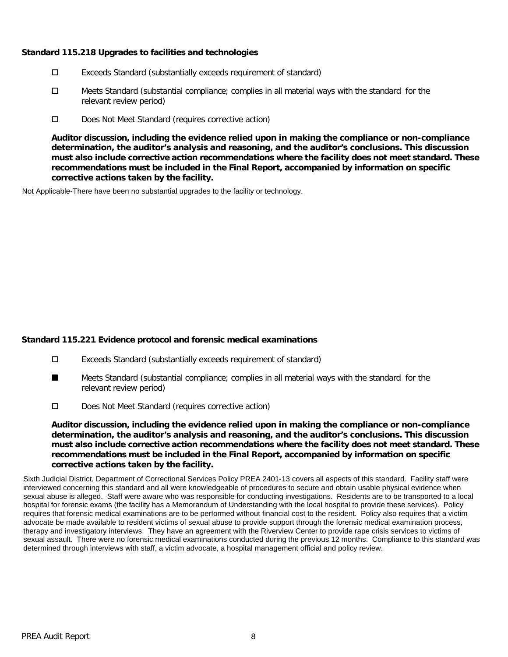## **Standard 115.218 Upgrades to facilities and technologies**

- Exceeds Standard (substantially exceeds requirement of standard)
- $\Box$  Meets Standard (substantial compliance; complies in all material ways with the standard for the relevant review period)
- D Does Not Meet Standard (requires corrective action)

**Auditor discussion, including the evidence relied upon in making the compliance or non-compliance determination, the auditor's analysis and reasoning, and the auditor's conclusions. This discussion must also include corrective action recommendations where the facility does not meet standard. These recommendations must be included in the Final Report, accompanied by information on specific corrective actions taken by the facility.**

Not Applicable-There have been no substantial upgrades to the facility or technology.

# **Standard 115.221 Evidence protocol and forensic medical examinations**

- Exceeds Standard (substantially exceeds requirement of standard)
- Meets Standard (substantial compliance; complies in all material ways with the standard for the relevant review period) ■
- Does Not Meet Standard (requires corrective action)

**Auditor discussion, including the evidence relied upon in making the compliance or non-compliance determination, the auditor's analysis and reasoning, and the auditor's conclusions. This discussion must also include corrective action recommendations where the facility does not meet standard. These recommendations must be included in the Final Report, accompanied by information on specific corrective actions taken by the facility.**

Sixth Judicial District, Department of Correctional Services Policy PREA 2401-13 covers all aspects of this standard. Facility staff were interviewed concerning this standard and all were knowledgeable of procedures to secure and obtain usable physical evidence when sexual abuse is alleged. Staff were aware who was responsible for conducting investigations. Residents are to be transported to a local hospital for forensic exams (the facility has a Memorandum of Understanding with the local hospital to provide these services). Policy requires that forensic medical examinations are to be performed without financial cost to the resident. Policy also requires that a victim advocate be made available to resident victims of sexual abuse to provide support through the forensic medical examination process, therapy and investigatory interviews. They have an agreement with the Riverview Center to provide rape crisis services to victims of sexual assault. There were no forensic medical examinations conducted during the previous 12 months. Compliance to this standard was determined through interviews with staff, a victim advocate, a hospital management official and policy review.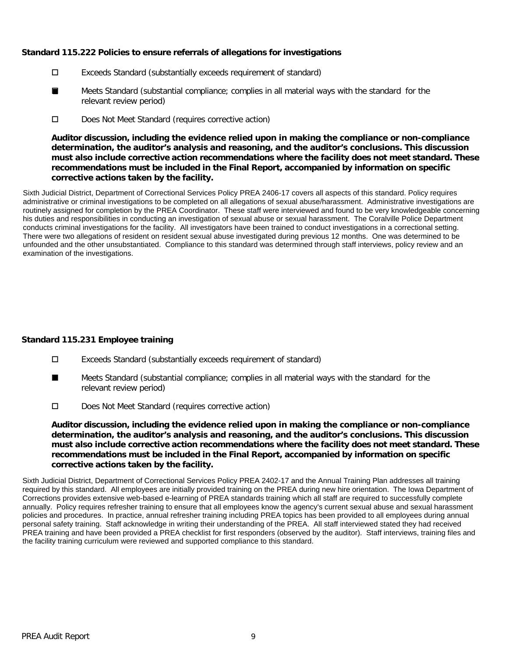# **Standard 115.222 Policies to ensure referrals of allegations for investigations**

- Exceeds Standard (substantially exceeds requirement of standard)
- Meets Standard (substantial compliance; complies in all material ways with the standard for the relevant review period) ■
- Does Not Meet Standard (requires corrective action)

**Auditor discussion, including the evidence relied upon in making the compliance or non-compliance determination, the auditor's analysis and reasoning, and the auditor's conclusions. This discussion must also include corrective action recommendations where the facility does not meet standard. These recommendations must be included in the Final Report, accompanied by information on specific corrective actions taken by the facility.**

Sixth Judicial District, Department of Correctional Services Policy PREA 2406-17 covers all aspects of this standard. Policy requires administrative or criminal investigations to be completed on all allegations of sexual abuse/harassment. Administrative investigations are routinely assigned for completion by the PREA Coordinator. These staff were interviewed and found to be very knowledgeable concerning his duties and responsibilities in conducting an investigation of sexual abuse or sexual harassment. The Coralville Police Department conducts criminal investigations for the facility. All investigators have been trained to conduct investigations in a correctional setting. There were two allegations of resident on resident sexual abuse investigated during previous 12 months. One was determined to be unfounded and the other unsubstantiated. Compliance to this standard was determined through staff interviews, policy review and an examination of the investigations.

# **Standard 115.231 Employee training**

- Exceeds Standard (substantially exceeds requirement of standard)
- Meets Standard (substantial compliance; complies in all material ways with the standard for the relevant review period) ■
- Does Not Meet Standard (requires corrective action)

**Auditor discussion, including the evidence relied upon in making the compliance or non-compliance determination, the auditor's analysis and reasoning, and the auditor's conclusions. This discussion must also include corrective action recommendations where the facility does not meet standard. These recommendations must be included in the Final Report, accompanied by information on specific corrective actions taken by the facility.**

Sixth Judicial District, Department of Correctional Services Policy PREA 2402-17 and the Annual Training Plan addresses all training required by this standard. All employees are initially provided training on the PREA during new hire orientation. The Iowa Department of Corrections provides extensive web-based e-learning of PREA standards training which all staff are required to successfully complete annually. Policy requires refresher training to ensure that all employees know the agency's current sexual abuse and sexual harassment policies and procedures. In practice, annual refresher training including PREA topics has been provided to all employees during annual personal safety training. Staff acknowledge in writing their understanding of the PREA. All staff interviewed stated they had received PREA training and have been provided a PREA checklist for first responders (observed by the auditor). Staff interviews, training files and the facility training curriculum were reviewed and supported compliance to this standard.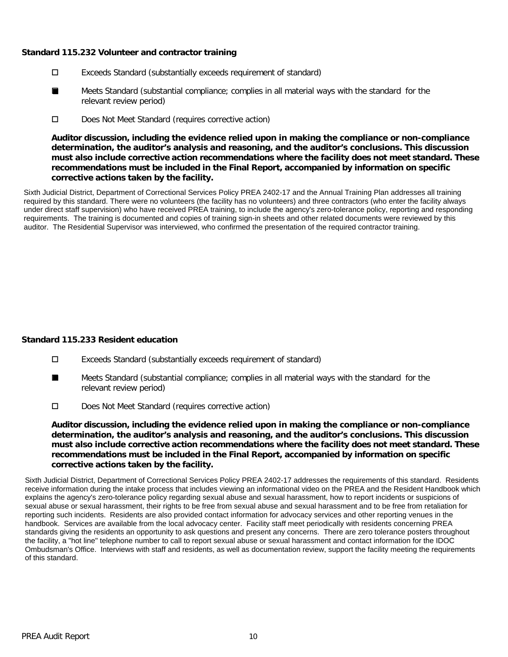## **Standard 115.232 Volunteer and contractor training**

- Exceeds Standard (substantially exceeds requirement of standard)
- Meets Standard (substantial compliance; complies in all material ways with the standard for the relevant review period) ■
- D Does Not Meet Standard (requires corrective action)

**Auditor discussion, including the evidence relied upon in making the compliance or non-compliance determination, the auditor's analysis and reasoning, and the auditor's conclusions. This discussion must also include corrective action recommendations where the facility does not meet standard. These recommendations must be included in the Final Report, accompanied by information on specific corrective actions taken by the facility.**

Sixth Judicial District, Department of Correctional Services Policy PREA 2402-17 and the Annual Training Plan addresses all training required by this standard. There were no volunteers (the facility has no volunteers) and three contractors (who enter the facility always under direct staff supervision) who have received PREA training, to include the agency's zero-tolerance policy, reporting and responding requirements. The training is documented and copies of training sign-in sheets and other related documents were reviewed by this auditor. The Residential Supervisor was interviewed, who confirmed the presentation of the required contractor training.

# **Standard 115.233 Resident education**

- Exceeds Standard (substantially exceeds requirement of standard)
- Meets Standard (substantial compliance; complies in all material ways with the standard for the relevant review period) ■
- Does Not Meet Standard (requires corrective action)

**Auditor discussion, including the evidence relied upon in making the compliance or non-compliance determination, the auditor's analysis and reasoning, and the auditor's conclusions. This discussion must also include corrective action recommendations where the facility does not meet standard. These recommendations must be included in the Final Report, accompanied by information on specific corrective actions taken by the facility.**

Sixth Judicial District, Department of Correctional Services Policy PREA 2402-17 addresses the requirements of this standard. Residents receive information during the intake process that includes viewing an informational video on the PREA and the Resident Handbook which explains the agency's zero-tolerance policy regarding sexual abuse and sexual harassment, how to report incidents or suspicions of sexual abuse or sexual harassment, their rights to be free from sexual abuse and sexual harassment and to be free from retaliation for reporting such incidents. Residents are also provided contact information for advocacy services and other reporting venues in the handbook. Services are available from the local advocacy center. Facility staff meet periodically with residents concerning PREA standards giving the residents an opportunity to ask questions and present any concerns. There are zero tolerance posters throughout the facility, a "hot line" telephone number to call to report sexual abuse or sexual harassment and contact information for the IDOC Ombudsman's Office. Interviews with staff and residents, as well as documentation review, support the facility meeting the requirements of this standard.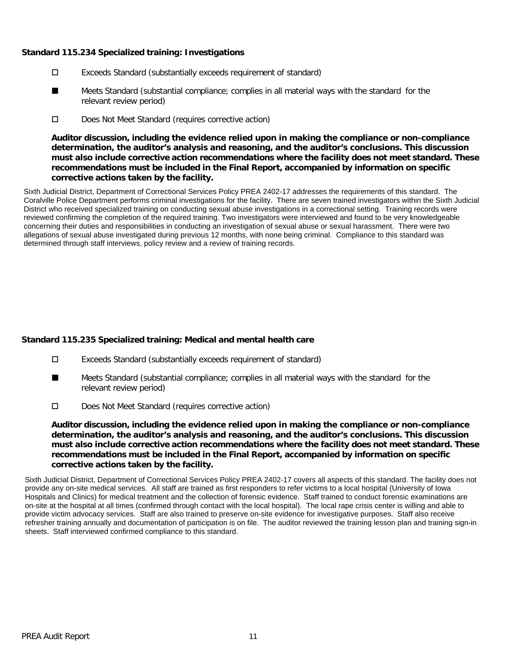## **Standard 115.234 Specialized training: Investigations**

- Exceeds Standard (substantially exceeds requirement of standard)
- Meets Standard (substantial compliance; complies in all material ways with the standard for the relevant review period) ■
- D Does Not Meet Standard (requires corrective action)

**Auditor discussion, including the evidence relied upon in making the compliance or non-compliance determination, the auditor's analysis and reasoning, and the auditor's conclusions. This discussion must also include corrective action recommendations where the facility does not meet standard. These recommendations must be included in the Final Report, accompanied by information on specific corrective actions taken by the facility.**

Sixth Judicial District, Department of Correctional Services Policy PREA 2402-17 addresses the requirements of this standard. The Coralville Police Department performs criminal investigations for the facility. There are seven trained investigators within the Sixth Judicial District who received specialized training on conducting sexual abuse investigations in a correctional setting. Training records were reviewed confirming the completion of the required training. Two investigators were interviewed and found to be very knowledgeable concerning their duties and responsibilities in conducting an investigation of sexual abuse or sexual harassment. There were two allegations of sexual abuse investigated during previous 12 months, with none being criminal. Compliance to this standard was determined through staff interviews, policy review and a review of training records.

# **Standard 115.235 Specialized training: Medical and mental health care**

- Exceeds Standard (substantially exceeds requirement of standard)
- Meets Standard (substantial compliance; complies in all material ways with the standard for the relevant review period) ■
- Does Not Meet Standard (requires corrective action)

**Auditor discussion, including the evidence relied upon in making the compliance or non-compliance determination, the auditor's analysis and reasoning, and the auditor's conclusions. This discussion must also include corrective action recommendations where the facility does not meet standard. These recommendations must be included in the Final Report, accompanied by information on specific corrective actions taken by the facility.**

Sixth Judicial District, Department of Correctional Services Policy PREA 2402-17 covers all aspects of this standard. The facility does not provide any on-site medical services. All staff are trained as first responders to refer victims to a local hospital (University of Iowa Hospitals and Clinics) for medical treatment and the collection of forensic evidence. Staff trained to conduct forensic examinations are on-site at the hospital at all times (confirmed through contact with the local hospital). The local rape crisis center is willing and able to provide victim advocacy services. Staff are also trained to preserve on-site evidence for investigative purposes. Staff also receive refresher training annually and documentation of participation is on file. The auditor reviewed the training lesson plan and training sign-in sheets. Staff interviewed confirmed compliance to this standard.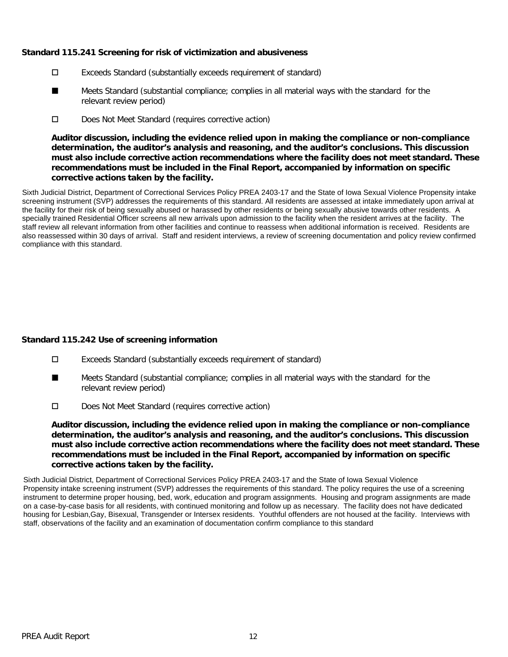## **Standard 115.241 Screening for risk of victimization and abusiveness**

- Exceeds Standard (substantially exceeds requirement of standard)
- Meets Standard (substantial compliance; complies in all material ways with the standard for the relevant review period) ■
- D Does Not Meet Standard (requires corrective action)

**Auditor discussion, including the evidence relied upon in making the compliance or non-compliance determination, the auditor's analysis and reasoning, and the auditor's conclusions. This discussion must also include corrective action recommendations where the facility does not meet standard. These recommendations must be included in the Final Report, accompanied by information on specific corrective actions taken by the facility.**

Sixth Judicial District, Department of Correctional Services Policy PREA 2403-17 and the State of Iowa Sexual Violence Propensity intake screening instrument (SVP) addresses the requirements of this standard. All residents are assessed at intake immediately upon arrival at the facility for their risk of being sexually abused or harassed by other residents or being sexually abusive towards other residents. A specially trained Residential Officer screens all new arrivals upon admission to the facility when the resident arrives at the facility. The staff review all relevant information from other facilities and continue to reassess when additional information is received. Residents are also reassessed within 30 days of arrival. Staff and resident interviews, a review of screening documentation and policy review confirmed compliance with this standard.

# **Standard 115.242 Use of screening information**

- Exceeds Standard (substantially exceeds requirement of standard)
- Meets Standard (substantial compliance; complies in all material ways with the standard for the relevant review period) ■
- D Does Not Meet Standard (requires corrective action)

**Auditor discussion, including the evidence relied upon in making the compliance or non-compliance determination, the auditor's analysis and reasoning, and the auditor's conclusions. This discussion must also include corrective action recommendations where the facility does not meet standard. These recommendations must be included in the Final Report, accompanied by information on specific corrective actions taken by the facility.**

Sixth Judicial District, Department of Correctional Services Policy PREA 2403-17 and the State of Iowa Sexual Violence Propensity intake screening instrument (SVP) addresses the requirements of this standard. The policy requires the use of a screening instrument to determine proper housing, bed, work, education and program assignments. Housing and program assignments are made on a case-by-case basis for all residents, with continued monitoring and follow up as necessary. The facility does not have dedicated housing for Lesbian,Gay, Bisexual, Transgender or Intersex residents. Youthful offenders are not housed at the facility. Interviews with staff, observations of the facility and an examination of documentation confirm compliance to this standard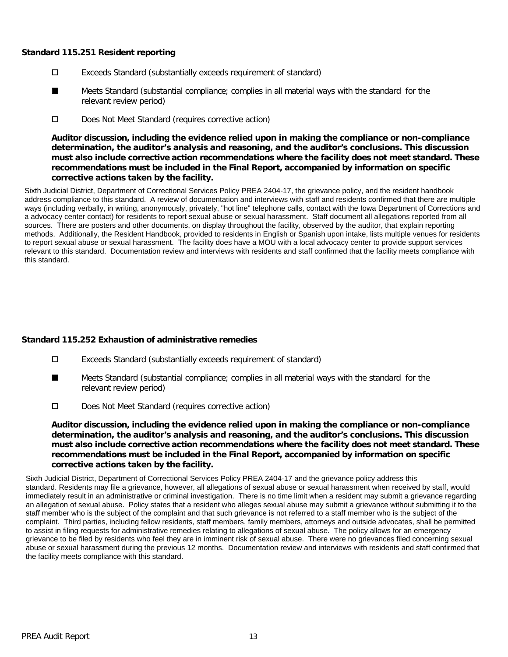#### **Standard 115.251 Resident reporting**

- Exceeds Standard (substantially exceeds requirement of standard)
- Meets Standard (substantial compliance; complies in all material ways with the standard for the relevant review period) ■
- D Does Not Meet Standard (requires corrective action)

**Auditor discussion, including the evidence relied upon in making the compliance or non-compliance determination, the auditor's analysis and reasoning, and the auditor's conclusions. This discussion must also include corrective action recommendations where the facility does not meet standard. These recommendations must be included in the Final Report, accompanied by information on specific corrective actions taken by the facility.**

Sixth Judicial District, Department of Correctional Services Policy PREA 2404-17, the grievance policy, and the resident handbook address compliance to this standard. A review of documentation and interviews with staff and residents confirmed that there are multiple ways (including verbally, in writing, anonymously, privately, "hot line" telephone calls, contact with the Iowa Department of Corrections and a advocacy center contact) for residents to report sexual abuse or sexual harassment. Staff document all allegations reported from all sources. There are posters and other documents, on display throughout the facility, observed by the auditor, that explain reporting methods. Additionally, the Resident Handbook, provided to residents in English or Spanish upon intake, lists multiple venues for residents to report sexual abuse or sexual harassment. The facility does have a MOU with a local advocacy center to provide support services relevant to this standard. Documentation review and interviews with residents and staff confirmed that the facility meets compliance with this standard.

# **Standard 115.252 Exhaustion of administrative remedies**

- Exceeds Standard (substantially exceeds requirement of standard)
- Meets Standard (substantial compliance; complies in all material ways with the standard for the relevant review period) ■
- Does Not Meet Standard (requires corrective action)

**Auditor discussion, including the evidence relied upon in making the compliance or non-compliance determination, the auditor's analysis and reasoning, and the auditor's conclusions. This discussion must also include corrective action recommendations where the facility does not meet standard. These recommendations must be included in the Final Report, accompanied by information on specific corrective actions taken by the facility.**

Sixth Judicial District, Department of Correctional Services Policy PREA 2404-17 and the grievance policy address this standard. Residents may file a grievance, however, all allegations of sexual abuse or sexual harassment when received by staff, would immediately result in an administrative or criminal investigation. There is no time limit when a resident may submit a grievance regarding an allegation of sexual abuse. Policy states that a resident who alleges sexual abuse may submit a grievance without submitting it to the staff member who is the subject of the complaint and that such grievance is not referred to a staff member who is the subject of the complaint. Third parties, including fellow residents, staff members, family members, attorneys and outside advocates, shall be permitted to assist in filing requests for administrative remedies relating to allegations of sexual abuse. The policy allows for an emergency grievance to be filed by residents who feel they are in imminent risk of sexual abuse. There were no grievances filed concerning sexual abuse or sexual harassment during the previous 12 months. Documentation review and interviews with residents and staff confirmed that the facility meets compliance with this standard.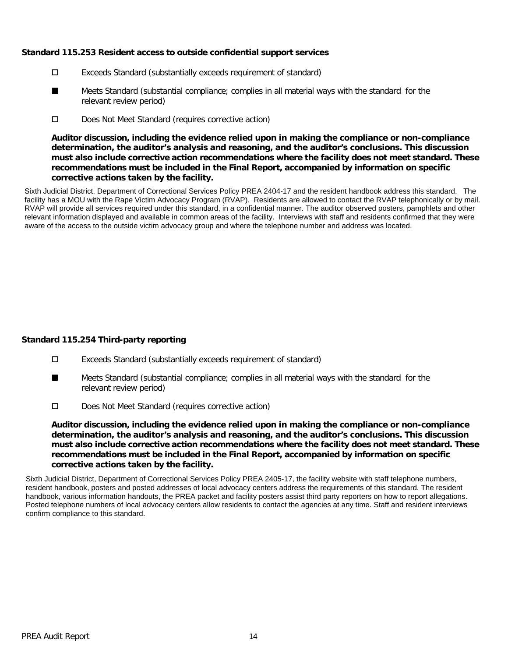## **Standard 115.253 Resident access to outside confidential support services**

- Exceeds Standard (substantially exceeds requirement of standard)
- Meets Standard (substantial compliance; complies in all material ways with the standard for the relevant review period) ■
- D Does Not Meet Standard (requires corrective action)

**Auditor discussion, including the evidence relied upon in making the compliance or non-compliance determination, the auditor's analysis and reasoning, and the auditor's conclusions. This discussion must also include corrective action recommendations where the facility does not meet standard. These recommendations must be included in the Final Report, accompanied by information on specific corrective actions taken by the facility.**

Sixth Judicial District, Department of Correctional Services Policy PREA 2404-17 and the resident handbook address this standard. The facility has a MOU with the Rape Victim Advocacy Program (RVAP). Residents are allowed to contact the RVAP telephonically or by mail. RVAP will provide all services required under this standard, in a confidential manner. The auditor observed posters, pamphlets and other relevant information displayed and available in common areas of the facility. Interviews with staff and residents confirmed that they were aware of the access to the outside victim advocacy group and where the telephone number and address was located.

# **Standard 115.254 Third-party reporting**

- Exceeds Standard (substantially exceeds requirement of standard)
- Meets Standard (substantial compliance; complies in all material ways with the standard for the relevant review period) ■
- D Does Not Meet Standard (requires corrective action)

**Auditor discussion, including the evidence relied upon in making the compliance or non-compliance determination, the auditor's analysis and reasoning, and the auditor's conclusions. This discussion must also include corrective action recommendations where the facility does not meet standard. These recommendations must be included in the Final Report, accompanied by information on specific corrective actions taken by the facility.**

Sixth Judicial District, Department of Correctional Services Policy PREA 2405-17, the facility website with staff telephone numbers, resident handbook, posters and posted addresses of local advocacy centers address the requirements of this standard. The resident handbook, various information handouts, the PREA packet and facility posters assist third party reporters on how to report allegations. Posted telephone numbers of local advocacy centers allow residents to contact the agencies at any time. Staff and resident interviews confirm compliance to this standard.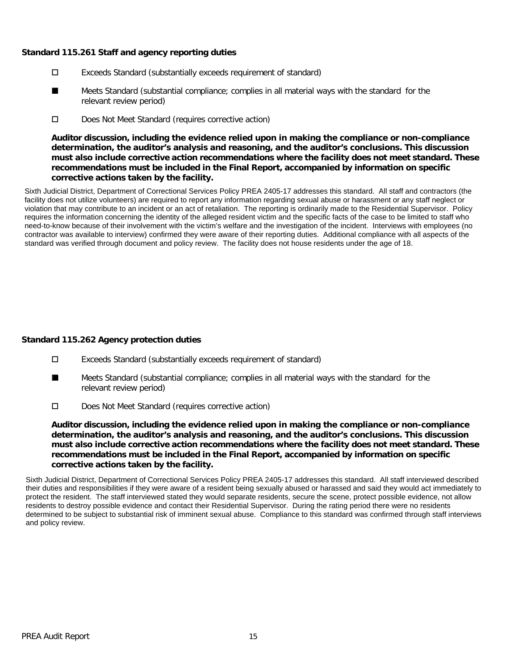## **Standard 115.261 Staff and agency reporting duties**

- Exceeds Standard (substantially exceeds requirement of standard)
- Meets Standard (substantial compliance; complies in all material ways with the standard for the relevant review period) ■
- D Does Not Meet Standard (requires corrective action)

**Auditor discussion, including the evidence relied upon in making the compliance or non-compliance determination, the auditor's analysis and reasoning, and the auditor's conclusions. This discussion must also include corrective action recommendations where the facility does not meet standard. These recommendations must be included in the Final Report, accompanied by information on specific corrective actions taken by the facility.**

Sixth Judicial District, Department of Correctional Services Policy PREA 2405-17 addresses this standard. All staff and contractors (the facility does not utilize volunteers) are required to report any information regarding sexual abuse or harassment or any staff neglect or violation that may contribute to an incident or an act of retaliation. The reporting is ordinarily made to the Residential Supervisor. Policy requires the information concerning the identity of the alleged resident victim and the specific facts of the case to be limited to staff who need-to-know because of their involvement with the victim's welfare and the investigation of the incident. Interviews with employees (no contractor was available to interview) confirmed they were aware of their reporting duties. Additional compliance with all aspects of the standard was verified through document and policy review. The facility does not house residents under the age of 18.

# **Standard 115.262 Agency protection duties**

- Exceeds Standard (substantially exceeds requirement of standard)
- Meets Standard (substantial compliance; complies in all material ways with the standard for the relevant review period) ■
- Does Not Meet Standard (requires corrective action)

**Auditor discussion, including the evidence relied upon in making the compliance or non-compliance determination, the auditor's analysis and reasoning, and the auditor's conclusions. This discussion must also include corrective action recommendations where the facility does not meet standard. These recommendations must be included in the Final Report, accompanied by information on specific corrective actions taken by the facility.**

Sixth Judicial District, Department of Correctional Services Policy PREA 2405-17 addresses this standard. All staff interviewed described their duties and responsibilities if they were aware of a resident being sexually abused or harassed and said they would act immediately to protect the resident. The staff interviewed stated they would separate residents, secure the scene, protect possible evidence, not allow residents to destroy possible evidence and contact their Residential Supervisor. During the rating period there were no residents determined to be subject to substantial risk of imminent sexual abuse. Compliance to this standard was confirmed through staff interviews and policy review.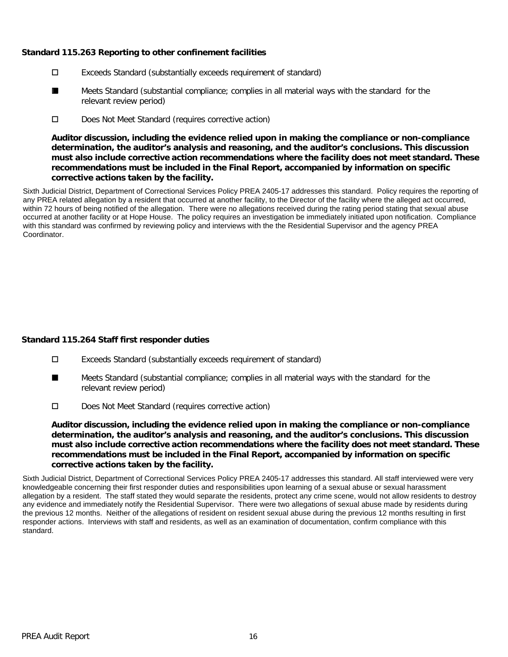# **Standard 115.263 Reporting to other confinement facilities**

- Exceeds Standard (substantially exceeds requirement of standard)
- Meets Standard (substantial compliance; complies in all material ways with the standard for the relevant review period) ■
- D Does Not Meet Standard (requires corrective action)

**Auditor discussion, including the evidence relied upon in making the compliance or non-compliance determination, the auditor's analysis and reasoning, and the auditor's conclusions. This discussion must also include corrective action recommendations where the facility does not meet standard. These recommendations must be included in the Final Report, accompanied by information on specific corrective actions taken by the facility.**

Sixth Judicial District, Department of Correctional Services Policy PREA 2405-17 addresses this standard. Policy requires the reporting of any PREA related allegation by a resident that occurred at another facility, to the Director of the facility where the alleged act occurred, within 72 hours of being notified of the allegation. There were no allegations received during the rating period stating that sexual abuse occurred at another facility or at Hope House. The policy requires an investigation be immediately initiated upon notification. Compliance with this standard was confirmed by reviewing policy and interviews with the the Residential Supervisor and the agency PREA Coordinator.

# **Standard 115.264 Staff first responder duties**

- Exceeds Standard (substantially exceeds requirement of standard)
- Meets Standard (substantial compliance; complies in all material ways with the standard for the relevant review period) ■
- Does Not Meet Standard (requires corrective action)

**Auditor discussion, including the evidence relied upon in making the compliance or non-compliance determination, the auditor's analysis and reasoning, and the auditor's conclusions. This discussion must also include corrective action recommendations where the facility does not meet standard. These recommendations must be included in the Final Report, accompanied by information on specific corrective actions taken by the facility.**

Sixth Judicial District, Department of Correctional Services Policy PREA 2405-17 addresses this standard. All staff interviewed were very knowledgeable concerning their first responder duties and responsibilities upon learning of a sexual abuse or sexual harassment allegation by a resident. The staff stated they would separate the residents, protect any crime scene, would not allow residents to destroy any evidence and immediately notify the Residential Supervisor. There were two allegations of sexual abuse made by residents during the previous 12 months. Neither of the allegations of resident on resident sexual abuse during the previous 12 months resulting in first responder actions. Interviews with staff and residents, as well as an examination of documentation, confirm compliance with this standard.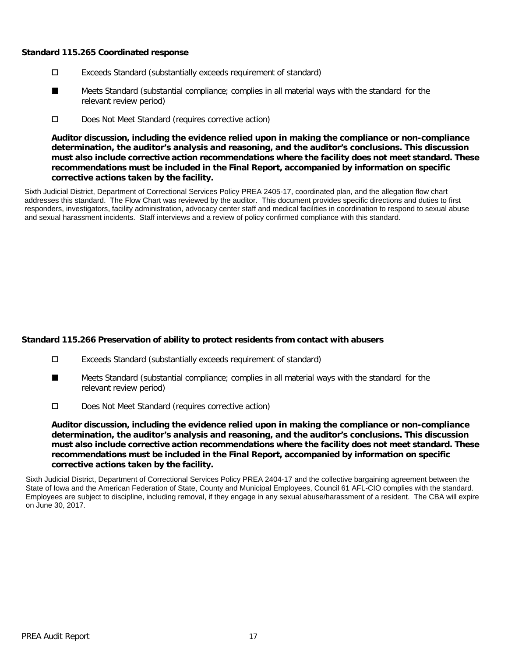#### **Standard 115.265 Coordinated response**

- Exceeds Standard (substantially exceeds requirement of standard)
- Meets Standard (substantial compliance; complies in all material ways with the standard for the relevant review period) ■
- D Does Not Meet Standard (requires corrective action)

**Auditor discussion, including the evidence relied upon in making the compliance or non-compliance determination, the auditor's analysis and reasoning, and the auditor's conclusions. This discussion must also include corrective action recommendations where the facility does not meet standard. These recommendations must be included in the Final Report, accompanied by information on specific corrective actions taken by the facility.**

Sixth Judicial District, Department of Correctional Services Policy PREA 2405-17, coordinated plan, and the allegation flow chart addresses this standard. The Flow Chart was reviewed by the auditor. This document provides specific directions and duties to first responders, investigators, facility administration, advocacy center staff and medical facilities in coordination to respond to sexual abuse and sexual harassment incidents. Staff interviews and a review of policy confirmed compliance with this standard.

# **Standard 115.266 Preservation of ability to protect residents from contact with abusers**

- Exceeds Standard (substantially exceeds requirement of standard)
- Meets Standard (substantial compliance; complies in all material ways with the standard for the relevant review period) ■
- Does Not Meet Standard (requires corrective action)

**Auditor discussion, including the evidence relied upon in making the compliance or non-compliance determination, the auditor's analysis and reasoning, and the auditor's conclusions. This discussion must also include corrective action recommendations where the facility does not meet standard. These recommendations must be included in the Final Report, accompanied by information on specific corrective actions taken by the facility.**

Sixth Judicial District, Department of Correctional Services Policy PREA 2404-17 and the collective bargaining agreement between the State of Iowa and the American Federation of State, County and Municipal Employees, Council 61 AFL-CIO complies with the standard. Employees are subject to discipline, including removal, if they engage in any sexual abuse/harassment of a resident. The CBA will expire on June 30, 2017.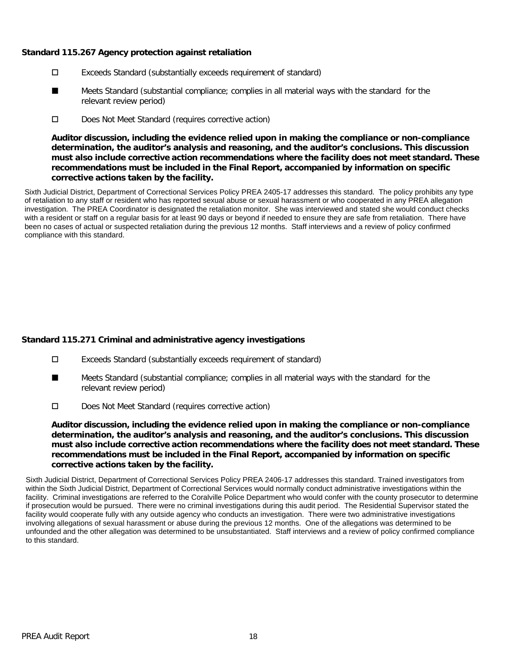## **Standard 115.267 Agency protection against retaliation**

- Exceeds Standard (substantially exceeds requirement of standard)
- Meets Standard (substantial compliance; complies in all material ways with the standard for the relevant review period) ■
- D Does Not Meet Standard (requires corrective action)

**Auditor discussion, including the evidence relied upon in making the compliance or non-compliance determination, the auditor's analysis and reasoning, and the auditor's conclusions. This discussion must also include corrective action recommendations where the facility does not meet standard. These recommendations must be included in the Final Report, accompanied by information on specific corrective actions taken by the facility.**

Sixth Judicial District, Department of Correctional Services Policy PREA 2405-17 addresses this standard. The policy prohibits any type of retaliation to any staff or resident who has reported sexual abuse or sexual harassment or who cooperated in any PREA allegation investigation. The PREA Coordinator is designated the retaliation monitor. She was interviewed and stated she would conduct checks with a resident or staff on a regular basis for at least 90 days or beyond if needed to ensure they are safe from retaliation. There have been no cases of actual or suspected retaliation during the previous 12 months. Staff interviews and a review of policy confirmed compliance with this standard.

# **Standard 115.271 Criminal and administrative agency investigations**

- Exceeds Standard (substantially exceeds requirement of standard)
- Meets Standard (substantial compliance; complies in all material ways with the standard for the relevant review period) ■
- Does Not Meet Standard (requires corrective action)

**Auditor discussion, including the evidence relied upon in making the compliance or non-compliance determination, the auditor's analysis and reasoning, and the auditor's conclusions. This discussion must also include corrective action recommendations where the facility does not meet standard. These recommendations must be included in the Final Report, accompanied by information on specific corrective actions taken by the facility.**

Sixth Judicial District, Department of Correctional Services Policy PREA 2406-17 addresses this standard. Trained investigators from within the Sixth Judicial District, Department of Correctional Services would normally conduct administrative investigations within the facility. Criminal investigations are referred to the Coralville Police Department who would confer with the county prosecutor to determine if prosecution would be pursued. There were no criminal investigations during this audit period. The Residential Supervisor stated the facility would cooperate fully with any outside agency who conducts an investigation. There were two administrative investigations involving allegations of sexual harassment or abuse during the previous 12 months. One of the allegations was determined to be unfounded and the other allegation was determined to be unsubstantiated. Staff interviews and a review of policy confirmed compliance to this standard.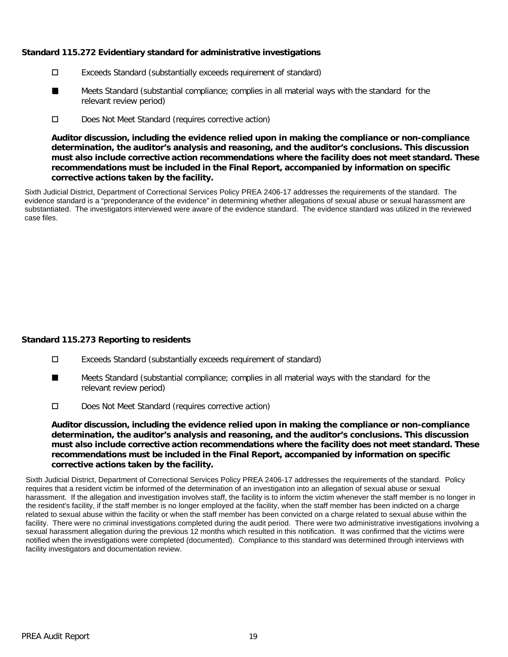# **Standard 115.272 Evidentiary standard for administrative investigations**

- Exceeds Standard (substantially exceeds requirement of standard)
- Meets Standard (substantial compliance; complies in all material ways with the standard for the relevant review period) ■
- D Does Not Meet Standard (requires corrective action)

**Auditor discussion, including the evidence relied upon in making the compliance or non-compliance determination, the auditor's analysis and reasoning, and the auditor's conclusions. This discussion must also include corrective action recommendations where the facility does not meet standard. These recommendations must be included in the Final Report, accompanied by information on specific corrective actions taken by the facility.**

Sixth Judicial District, Department of Correctional Services Policy PREA 2406-17 addresses the requirements of the standard. The evidence standard is a "preponderance of the evidence" in determining whether allegations of sexual abuse or sexual harassment are substantiated. The investigators interviewed were aware of the evidence standard. The evidence standard was utilized in the reviewed case files.

# **Standard 115.273 Reporting to residents**

- Exceeds Standard (substantially exceeds requirement of standard)
- Meets Standard (substantial compliance; complies in all material ways with the standard for the relevant review period) ■
- Does Not Meet Standard (requires corrective action)

**Auditor discussion, including the evidence relied upon in making the compliance or non-compliance determination, the auditor's analysis and reasoning, and the auditor's conclusions. This discussion must also include corrective action recommendations where the facility does not meet standard. These recommendations must be included in the Final Report, accompanied by information on specific corrective actions taken by the facility.**

Sixth Judicial District, Department of Correctional Services Policy PREA 2406-17 addresses the requirements of the standard. Policy requires that a resident victim be informed of the determination of an investigation into an allegation of sexual abuse or sexual harassment. If the allegation and investigation involves staff, the facility is to inform the victim whenever the staff member is no longer in the resident's facility, if the staff member is no longer employed at the facility, when the staff member has been indicted on a charge related to sexual abuse within the facility or when the staff member has been convicted on a charge related to sexual abuse within the facility. There were no criminal investigations completed during the audit period. There were two administrative investigations involving a sexual harassment allegation during the previous 12 months which resulted in this notification. It was confirmed that the victims were notified when the investigations were completed (documented). Compliance to this standard was determined through interviews with facility investigators and documentation review.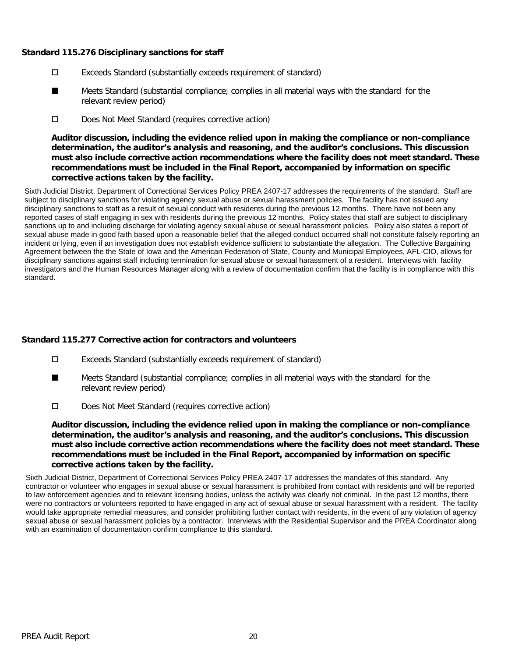## **Standard 115.276 Disciplinary sanctions for staff**

- Exceeds Standard (substantially exceeds requirement of standard)
- Meets Standard (substantial compliance; complies in all material ways with the standard for the relevant review period) ■
- D Does Not Meet Standard (requires corrective action)

**Auditor discussion, including the evidence relied upon in making the compliance or non-compliance determination, the auditor's analysis and reasoning, and the auditor's conclusions. This discussion must also include corrective action recommendations where the facility does not meet standard. These recommendations must be included in the Final Report, accompanied by information on specific corrective actions taken by the facility.**

Sixth Judicial District, Department of Correctional Services Policy PREA 2407-17 addresses the requirements of the standard. Staff are subject to disciplinary sanctions for violating agency sexual abuse or sexual harassment policies. The facility has not issued any disciplinary sanctions to staff as a result of sexual conduct with residents during the previous 12 months. There have not been any reported cases of staff engaging in sex with residents during the previous 12 months. Policy states that staff are subject to disciplinary sanctions up to and including discharge for violating agency sexual abuse or sexual harassment policies. Policy also states a report of sexual abuse made in good faith based upon a reasonable belief that the alleged conduct occurred shall not constitute falsely reporting an incident or lying, even if an investigation does not establish evidence sufficient to substantiate the allegation. The Collective Bargaining Agreement between the the State of Iowa and the American Federation of State, County and Municipal Employees, AFL-CIO, allows for disciplinary sanctions against staff including termination for sexual abuse or sexual harassment of a resident. Interviews with facility investigators and the Human Resources Manager along with a review of documentation confirm that the facility is in compliance with this standard.

# **Standard 115.277 Corrective action for contractors and volunteers**

- Exceeds Standard (substantially exceeds requirement of standard)
- Meets Standard (substantial compliance; complies in all material ways with the standard for the relevant review period) ■
- Does Not Meet Standard (requires corrective action)

**Auditor discussion, including the evidence relied upon in making the compliance or non-compliance determination, the auditor's analysis and reasoning, and the auditor's conclusions. This discussion must also include corrective action recommendations where the facility does not meet standard. These recommendations must be included in the Final Report, accompanied by information on specific corrective actions taken by the facility.**

Sixth Judicial District, Department of Correctional Services Policy PREA 2407-17 addresses the mandates of this standard. Any contractor or volunteer who engages in sexual abuse or sexual harassment is prohibited from contact with residents and will be reported to law enforcement agencies and to relevant licensing bodies, unless the activity was clearly not criminal. In the past 12 months, there were no contractors or volunteers reported to have engaged in any act of sexual abuse or sexual harassment with a resident. The facility would take appropriate remedial measures, and consider prohibiting further contact with residents, in the event of any violation of agency sexual abuse or sexual harassment policies by a contractor. Interviews with the Residential Supervisor and the PREA Coordinator along with an examination of documentation confirm compliance to this standard.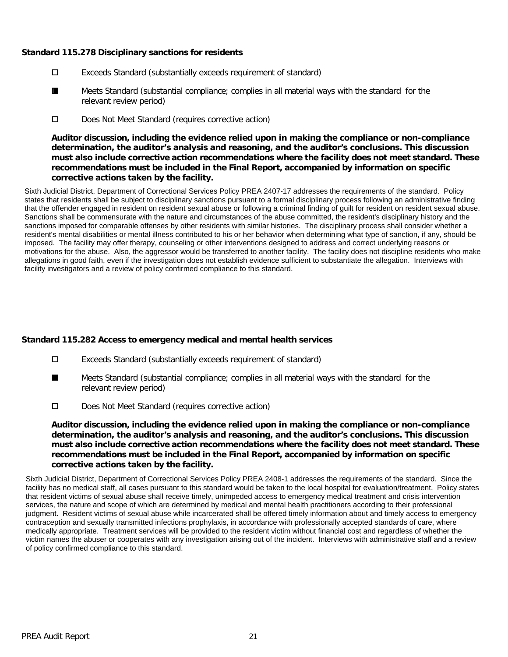## **Standard 115.278 Disciplinary sanctions for residents**

- Exceeds Standard (substantially exceeds requirement of standard)
- Meets Standard (substantial compliance; complies in all material ways with the standard for the relevant review period) ■
- D Does Not Meet Standard (requires corrective action)

**Auditor discussion, including the evidence relied upon in making the compliance or non-compliance determination, the auditor's analysis and reasoning, and the auditor's conclusions. This discussion must also include corrective action recommendations where the facility does not meet standard. These recommendations must be included in the Final Report, accompanied by information on specific corrective actions taken by the facility.**

Sixth Judicial District, Department of Correctional Services Policy PREA 2407-17 addresses the requirements of the standard. Policy states that residents shall be subject to disciplinary sanctions pursuant to a formal disciplinary process following an administrative finding that the offender engaged in resident on resident sexual abuse or following a criminal finding of guilt for resident on resident sexual abuse. Sanctions shall be commensurate with the nature and circumstances of the abuse committed, the resident's disciplinary history and the sanctions imposed for comparable offenses by other residents with similar histories. The disciplinary process shall consider whether a resident's mental disabilities or mental illness contributed to his or her behavior when determining what type of sanction, if any, should be imposed. The facility may offer therapy, counseling or other interventions designed to address and correct underlying reasons or motivations for the abuse. Also, the aggressor would be transferred to another facility. The facility does not discipline residents who make allegations in good faith, even if the investigation does not establish evidence sufficient to substantiate the allegation. Interviews with facility investigators and a review of policy confirmed compliance to this standard.

# **Standard 115.282 Access to emergency medical and mental health services**

- Exceeds Standard (substantially exceeds requirement of standard)
- Meets Standard (substantial compliance; complies in all material ways with the standard for the relevant review period) ■
- Does Not Meet Standard (requires corrective action)

**Auditor discussion, including the evidence relied upon in making the compliance or non-compliance determination, the auditor's analysis and reasoning, and the auditor's conclusions. This discussion must also include corrective action recommendations where the facility does not meet standard. These recommendations must be included in the Final Report, accompanied by information on specific corrective actions taken by the facility.**

Sixth Judicial District, Department of Correctional Services Policy PREA 2408-1 addresses the requirements of the standard. Since the facility has no medical staff, all cases pursuant to this standard would be taken to the local hospital for evaluation/treatment. Policy states that resident victims of sexual abuse shall receive timely, unimpeded access to emergency medical treatment and crisis intervention services, the nature and scope of which are determined by medical and mental health practitioners according to their professional judgment. Resident victims of sexual abuse while incarcerated shall be offered timely information about and timely access to emergency contraception and sexually transmitted infections prophylaxis, in accordance with professionally accepted standards of care, where medically appropriate. Treatment services will be provided to the resident victim without financial cost and regardless of whether the victim names the abuser or cooperates with any investigation arising out of the incident. Interviews with administrative staff and a review of policy confirmed compliance to this standard.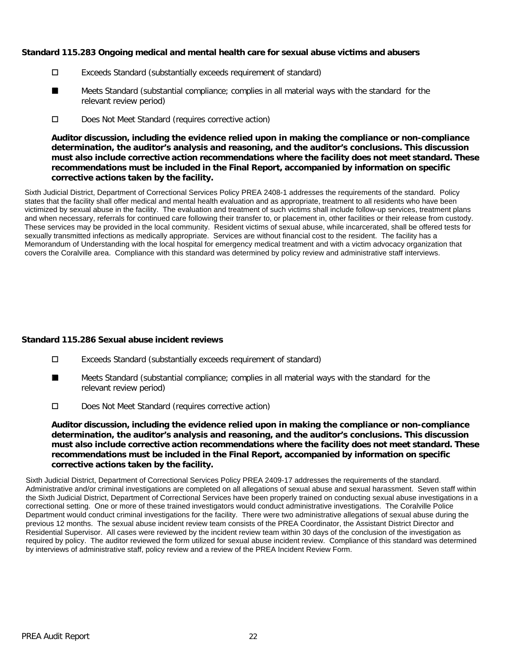## **Standard 115.283 Ongoing medical and mental health care for sexual abuse victims and abusers**

- Exceeds Standard (substantially exceeds requirement of standard)
- Meets Standard (substantial compliance; complies in all material ways with the standard for the relevant review period) ■
- D Does Not Meet Standard (requires corrective action)

**Auditor discussion, including the evidence relied upon in making the compliance or non-compliance determination, the auditor's analysis and reasoning, and the auditor's conclusions. This discussion must also include corrective action recommendations where the facility does not meet standard. These recommendations must be included in the Final Report, accompanied by information on specific corrective actions taken by the facility.**

Sixth Judicial District, Department of Correctional Services Policy PREA 2408-1 addresses the requirements of the standard. Policy states that the facility shall offer medical and mental health evaluation and as appropriate, treatment to all residents who have been victimized by sexual abuse in the facility. The evaluation and treatment of such victims shall include follow-up services, treatment plans and when necessary, referrals for continued care following their transfer to, or placement in, other facilities or their release from custody. These services may be provided in the local community. Resident victims of sexual abuse, while incarcerated, shall be offered tests for sexually transmitted infections as medically appropriate. Services are without financial cost to the resident. The facility has a Memorandum of Understanding with the local hospital for emergency medical treatment and with a victim advocacy organization that covers the Coralville area. Compliance with this standard was determined by policy review and administrative staff interviews.

# **Standard 115.286 Sexual abuse incident reviews**

- Exceeds Standard (substantially exceeds requirement of standard)
- Meets Standard (substantial compliance; complies in all material ways with the standard for the relevant review period) ■
- Does Not Meet Standard (requires corrective action)

**Auditor discussion, including the evidence relied upon in making the compliance or non-compliance determination, the auditor's analysis and reasoning, and the auditor's conclusions. This discussion must also include corrective action recommendations where the facility does not meet standard. These recommendations must be included in the Final Report, accompanied by information on specific corrective actions taken by the facility.**

Sixth Judicial District, Department of Correctional Services Policy PREA 2409-17 addresses the requirements of the standard. Administrative and/or criminal investigations are completed on all allegations of sexual abuse and sexual harassment. Seven staff within the Sixth Judicial District, Department of Correctional Services have been properly trained on conducting sexual abuse investigations in a correctional setting. One or more of these trained investigators would conduct administrative investigations. The Coralville Police Department would conduct criminal investigations for the facility. There were two administrative allegations of sexual abuse during the previous 12 months. The sexual abuse incident review team consists of the PREA Coordinator, the Assistant District Director and Residential Supervisor. All cases were reviewed by the incident review team within 30 days of the conclusion of the investigation as required by policy. The auditor reviewed the form utilized for sexual abuse incident review. Compliance of this standard was determined by interviews of administrative staff, policy review and a review of the PREA Incident Review Form.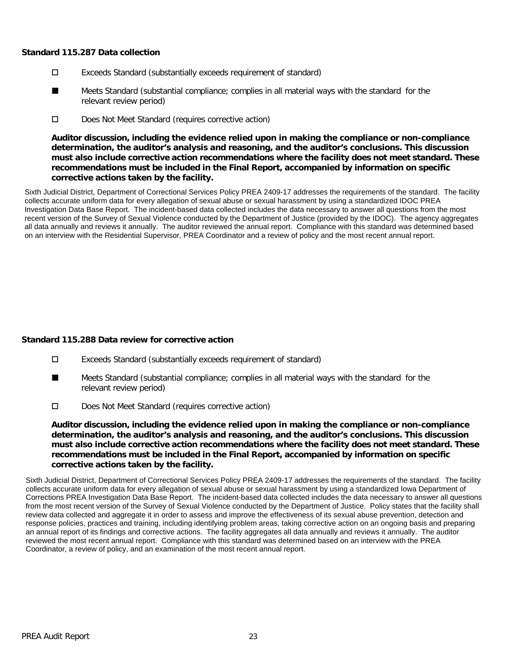### **Standard 115.287 Data collection**

- Exceeds Standard (substantially exceeds requirement of standard)
- Meets Standard (substantial compliance; complies in all material ways with the standard for the relevant review period) ■
- D Does Not Meet Standard (requires corrective action)

**Auditor discussion, including the evidence relied upon in making the compliance or non-compliance determination, the auditor's analysis and reasoning, and the auditor's conclusions. This discussion must also include corrective action recommendations where the facility does not meet standard. These recommendations must be included in the Final Report, accompanied by information on specific corrective actions taken by the facility.**

Sixth Judicial District, Department of Correctional Services Policy PREA 2409-17 addresses the requirements of the standard. The facility collects accurate uniform data for every allegation of sexual abuse or sexual harassment by using a standardized IDOC PREA Investigation Data Base Report. The incident-based data collected includes the data necessary to answer all questions from the most recent version of the Survey of Sexual Violence conducted by the Department of Justice (provided by the IDOC). The agency aggregates all data annually and reviews it annually. The auditor reviewed the annual report. Compliance with this standard was determined based on an interview with the Residential Supervisor, PREA Coordinator and a review of policy and the most recent annual report.

# **Standard 115.288 Data review for corrective action**

- Exceeds Standard (substantially exceeds requirement of standard)
- Meets Standard (substantial compliance; complies in all material ways with the standard for the relevant review period) ■
- Does Not Meet Standard (requires corrective action)

**Auditor discussion, including the evidence relied upon in making the compliance or non-compliance determination, the auditor's analysis and reasoning, and the auditor's conclusions. This discussion must also include corrective action recommendations where the facility does not meet standard. These recommendations must be included in the Final Report, accompanied by information on specific corrective actions taken by the facility.**

Sixth Judicial District, Department of Correctional Services Policy PREA 2409-17 addresses the requirements of the standard. The facility collects accurate uniform data for every allegation of sexual abuse or sexual harassment by using a standardized Iowa Department of Corrections PREA Investigation Data Base Report. The incident-based data collected includes the data necessary to answer all questions from the most recent version of the Survey of Sexual Violence conducted by the Department of Justice. Policy states that the facility shall review data collected and aggregate it in order to assess and improve the effectiveness of its sexual abuse prevention, detection and response policies, practices and training, including identifying problem areas, taking corrective action on an ongoing basis and preparing an annual report of its findings and corrective actions. The facility aggregates all data annually and reviews it annually. The auditor reviewed the most recent annual report. Compliance with this standard was determined based on an interview with the PREA Coordinator, a review of policy, and an examination of the most recent annual report.